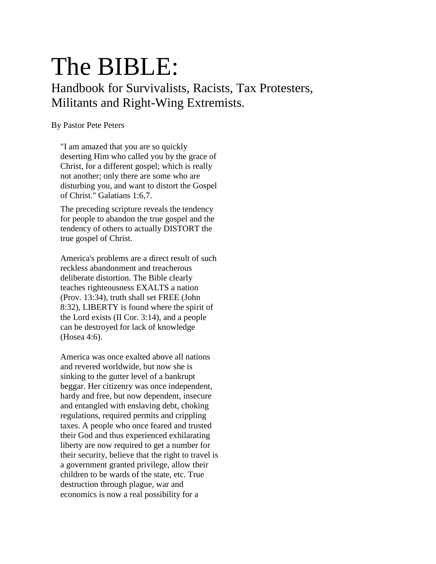# The BIBLE:

Handbook for Survivalists, Racists, Tax Protesters, Militants and Right-Wing Extremists.

#### By Pastor Pete Peters

"I am amazed that you are so quickly deserting Him who called you by the grace of Christ, for a different gospel; which is really not another; only there are some who are disturbing you, and want to distort the Gospel of Christ." Galatians 1:6,7.

The preceding scripture reveals the tendency for people to abandon the true gospel and the tendency of others to actually DISTORT the true gospel of Christ.

America's problems are a direct result of such reckless abandonment and treacherous deliberate distortion. The Bible clearly teaches righteousness EXALTS a nation (Prov. 13:34), truth shall set FREE (John 8:32), LIBERTY is found where the spirit of the Lord exists (II Cor. 3:14), and a people can be destroyed for lack of knowledge (Hosea 4:6).

America was once exalted above all nations and revered worldwide, but now she is sinking to the gutter level of a bankrupt beggar. Her citizenry was once independent, hardy and free, but now dependent, insecure and entangled with enslaving debt, choking regulations, required permits and crippling taxes. A people who once feared and trusted their God and thus experienced exhilarating liberty are now required to get a number for their security, believe that the right to travel is a government granted privilege, allow their children to be wards of the state, etc. True destruction through plague, war and economics is now a real possibility for a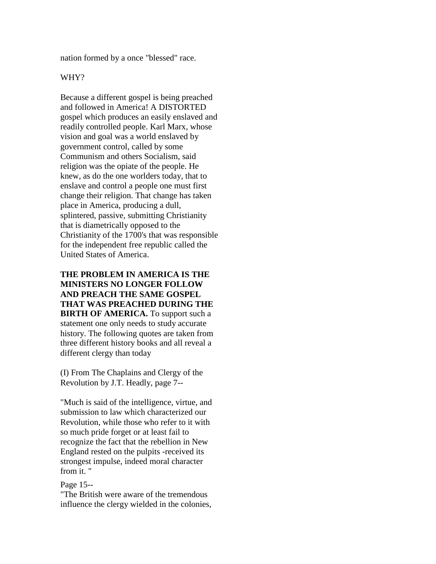nation formed by a once "blessed" race.

#### WHY?

Because a different gospel is being preached and followed in America! A DISTORTED gospel which produces an easily enslaved and readily controlled people. Karl Marx, whose vision and goal was a world enslaved by government control, called by some Communism and others Socialism, said religion was the opiate of the people. He knew, as do the one worlders today, that to enslave and control a people one must first change their religion. That change has taken place in America, producing a dull, splintered, passive, submitting Christianity that is diametrically opposed to the Christianity of the 1700's that was responsible for the independent free republic called the United States of America.

**THE PROBLEM IN AMERICA IS THE MINISTERS NO LONGER FOLLOW AND PREACH THE SAME GOSPEL THAT WAS PREACHED DURING THE BIRTH OF AMERICA.** To support such a statement one only needs to study accurate history. The following quotes are taken from three different history books and all reveal a different clergy than today

(I) From The Chaplains and Clergy of the Revolution by J.T. Headly, page 7--

"Much is said of the intelligence, virtue, and submission to law which characterized our Revolution, while those who refer to it with so much pride forget or at least fail to recognize the fact that the rebellion in New England rested on the pulpits -received its strongest impulse, indeed moral character from it. "

Page 15--

"The British were aware of the tremendous influence the clergy wielded in the colonies,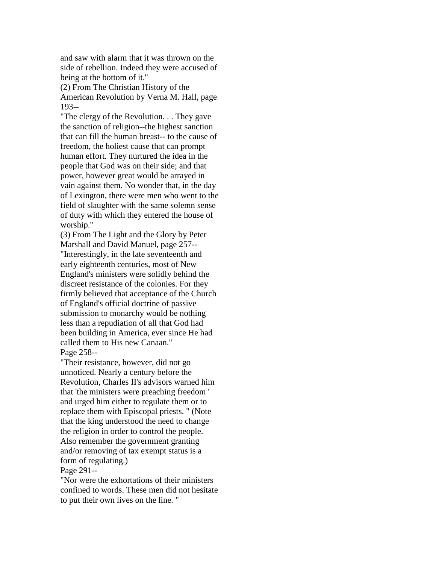and saw with alarm that it was thrown on the side of rebellion. Indeed they were accused of being at the bottom of it.''

(2) From The Christian History of the American Revolution by Verna M. Hall, page 193--

"The clergy of the Revolution. . . They gave the sanction of religion--the highest sanction that can fill the human breast-- to the cause of freedom, the holiest cause that can prompt human effort. They nurtured the idea in the people that God was on their side; and that power, however great would be arrayed in vain against them. No wonder that, in the day of Lexington, there were men who went to the field of slaughter with the same solemn sense of duty with which they entered the house of worship.''

(3) From The Light and the Glory by Peter Marshall and David Manuel, page 257-- "Interestingly, in the late seventeenth and early eighteenth centuries, most of New England's ministers were solidly behind the discreet resistance of the colonies. For they firmly believed that acceptance of the Church of England's official doctrine of passive submission to monarchy would be nothing less than a repudiation of all that God had been building in America, ever since He had called them to His new Canaan.'' Page 258--

"Their resistance, however, did not go unnoticed. Nearly a century before the Revolution, Charles II's advisors warned him that 'the ministers were preaching freedom ' and urged him either to regulate them or to replace them with Episcopal priests. " (Note that the king understood the need to change the religion in order to control the people. Also remember the government granting and/or removing of tax exempt status is a form of regulating.)

Page 291--

"Nor were the exhortations of their ministers confined to words. These men did not hesitate to put their own lives on the line. "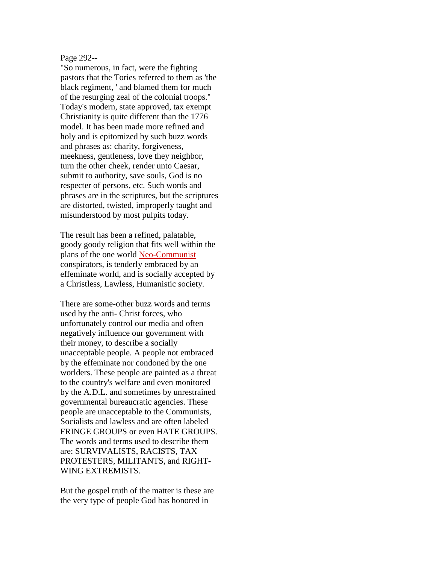#### Page 292--

"So numerous, in fact, were the fighting pastors that the Tories referred to them as 'the black regiment, ' and blamed them for much of the resurging zeal of the colonial troops.'' Today's modern, state approved, tax exempt Christianity is quite different than the 1776 model. It has been made more refined and holy and is epitomized by such buzz words and phrases as: charity, forgiveness, meekness, gentleness, love they neighbor, turn the other cheek, render unto Caesar, submit to authority, save souls, God is no respecter of persons, etc. Such words and phrases are in the scriptures, but the scriptures are distorted, twisted, improperly taught and misunderstood by most pulpits today.

The result has been a refined, palatable, goody goody religion that fits well within the plans of the one world [Neo-Communist](https://web.archive.org/web/19980529160841/http:/www.identity.org/files/commie.html) conspirators, is tenderly embraced by an effeminate world, and is socially accepted by a Christless, Lawless, Humanistic society.

There are some-other buzz words and terms used by the anti- Christ forces, who unfortunately control our media and often negatively influence our government with their money, to describe a socially unacceptable people. A people not embraced by the effeminate nor condoned by the one worlders. These people are painted as a threat to the country's welfare and even monitored by the A.D.L. and sometimes by unrestrained governmental bureaucratic agencies. These people are unacceptable to the Communists, Socialists and lawless and are often labeled FRINGE GROUPS or even HATE GROUPS. The words and terms used to describe them are: SURVIVALISTS, RACISTS, TAX PROTESTERS, MILITANTS, and RIGHT-WING EXTREMISTS.

But the gospel truth of the matter is these are the very type of people God has honored in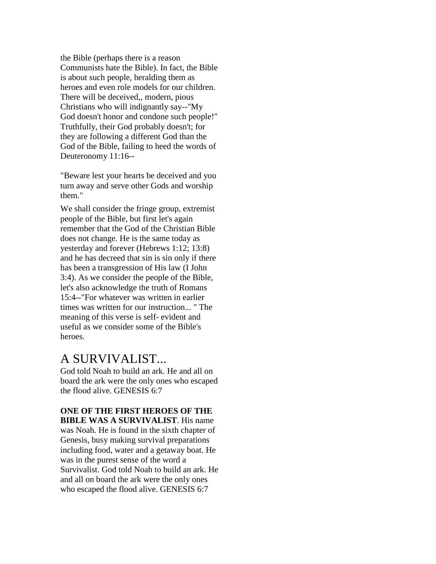the Bible (perhaps there is a reason Communists hate the Bible). In fact, the Bible is about such people, heralding them as heroes and even role models for our children. There will be deceived,, modern, pious Christians who will indignantly say--"My God doesn't honor and condone such people!" Truthfully, their God probably doesn't; for they are following a different God than the God of the Bible, failing to heed the words of Deuteronomy 11:16--

"Beware lest your hearts be deceived and you turn away and serve other Gods and worship them."

We shall consider the fringe group, extremist people of the Bible, but first let's again remember that the God of the Christian Bible does not change. He is the same today as yesterday and forever (Hebrews 1:12; 13:8) and he has decreed that sin is sin only if there has been a transgression of His law (I John 3:4). As we consider the people of the Bible, let's also acknowledge the truth of Romans 15:4--"For whatever was written in earlier times was written for our instruction... " The meaning of this verse is self- evident and useful as we consider some of the Bible's heroes.

## A SURVIVALIST...

God told Noah to build an ark. He and all on board the ark were the only ones who escaped the flood alive. GENESIS 6:7

#### **ONE OF THE FIRST HEROES OF THE BIBLE WAS A SURVIVALIST**. His name

was Noah. He is found in the sixth chapter of Genesis, busy making survival preparations including food, water and a getaway boat. He was in the purest sense of the word a Survivalist. God told Noah to build an ark. He and all on board the ark were the only ones who escaped the flood alive. GENESIS 6:7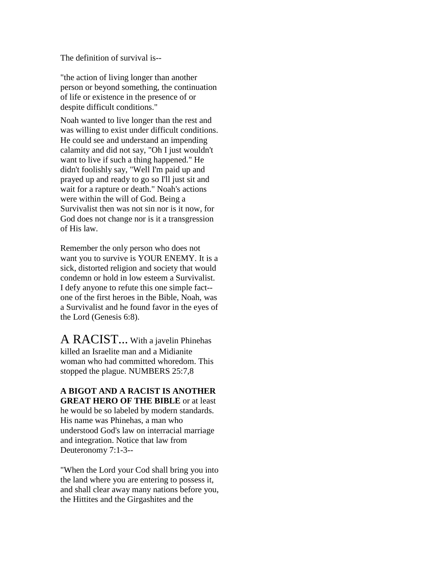The definition of survival is--

"the action of living longer than another person or beyond something, the continuation of life or existence in the presence of or despite difficult conditions."

Noah wanted to live longer than the rest and was willing to exist under difficult conditions. He could see and understand an impending calamity and did not say, "Oh I just wouldn't want to live if such a thing happened." He didn't foolishly say, "Well I'm paid up and prayed up and ready to go so I'll just sit and wait for a rapture or death." Noah's actions were within the will of God. Being a Survivalist then was not sin nor is it now, for God does not change nor is it a transgression of His law.

Remember the only person who does not want you to survive is YOUR ENEMY. It is a sick, distorted religion and society that would condemn or hold in low esteem a Survivalist. I defy anyone to refute this one simple fact- one of the first heroes in the Bible, Noah, was a Survivalist and he found favor in the eyes of the Lord (Genesis 6:8).

A RACIST... With a javelin Phinehas killed an Israelite man and a Midianite woman who had committed whoredom. This stopped the plague. NUMBERS 25:7,8

**A BIGOT AND A RACIST IS ANOTHER GREAT HERO OF THE BIBLE** or at least he would be so labeled by modern standards. His name was Phinehas, a man who understood God's law on interracial marriage and integration. Notice that law from Deuteronomy 7:1-3--

"When the Lord your Cod shall bring you into the land where you are entering to possess it, and shall clear away many nations before you, the Hittites and the Girgashites and the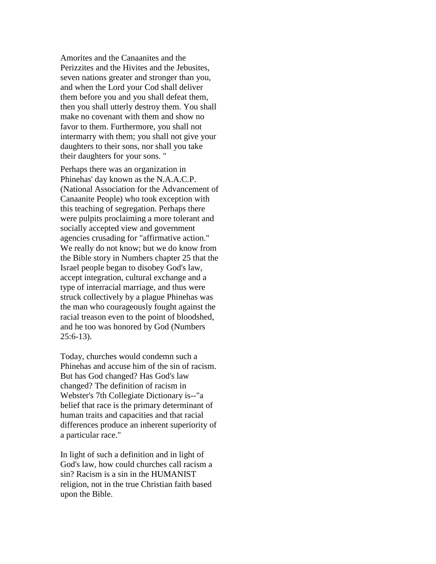Amorites and the Canaanites and the Perizzites and the Hivites and the Jebusites, seven nations greater and stronger than you, and when the Lord your Cod shall deliver them before you and you shall defeat them, then you shall utterly destroy them. You shall make no covenant with them and show no favor to them. Furthermore, you shall not intermarry with them; you shall not give your daughters to their sons, nor shall you take their daughters for your sons. "

Perhaps there was an organization in Phinehas' day known as the N.A.A.C.P. (National Association for the Advancement of Canaanite People) who took exception with this teaching of segregation. Perhaps there were pulpits proclaiming a more tolerant and socially accepted view and government agencies crusading for "affirmative action." We really do not know; but we do know from the Bible story in Numbers chapter 25 that the Israel people began to disobey God's law, accept integration, cultural exchange and a type of interracial marriage, and thus were struck collectively by a plague Phinehas was the man who courageously fought against the racial treason even to the point of bloodshed, and he too was honored by God (Numbers 25:6-13).

Today, churches would condemn such a Phinehas and accuse him of the sin of racism. But has God changed? Has God's law changed? The definition of racism in Webster's 7th Collegiate Dictionary is--"a belief that race is the primary determinant of human traits and capacities and that racial differences produce an inherent superiority of a particular race."

In light of such a definition and in light of God's law, how could churches call racism a sin? Racism is a sin in the HUMANIST religion, not in the true Christian faith based upon the Bible.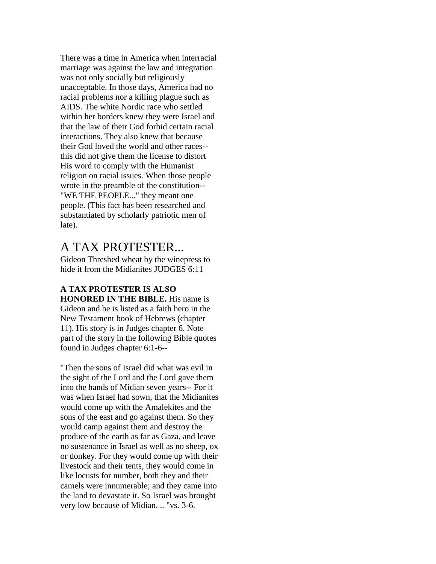There was a time in America when interracial marriage was against the law and integration was not only socially but religiously unacceptable. In those days, America had no racial problems nor a killing plague such as AIDS. The white Nordic race who settled within her borders knew they were Israel and that the law of their God forbid certain racial interactions. They also knew that because their God loved the world and other races- this did not give them the license to distort His word to comply with the Humanist religion on racial issues. When those people wrote in the preamble of the constitution-- "WE THE PEOPLE..." they meant one people. (This fact has been researched and substantiated by scholarly patriotic men of late).

## A TAX PROTESTER...

Gideon Threshed wheat by the winepress to hide it from the Midianites JUDGES 6:11

**A TAX PROTESTER IS ALSO HONORED IN THE BIBLE.** His name is Gideon and he is listed as a faith hero in the New Testament book of Hebrews (chapter 11). His story is in Judges chapter 6. Note part of the story in the following Bible quotes found in Judges chapter 6:1-6--

"Then the sons of Israel did what was evil in the sight of the Lord and the Lord gave them into the hands of Midian seven years-- For it was when Israel had sown, that the Midianites would come up with the Amalekites and the sons of the east and go against them. So they would camp against them and destroy the produce of the earth as far as Gaza, and leave no sustenance in Israel as well as no sheep, ox or donkey. For they would come up with their livestock and their tents, they would come in like locusts for number, both they and their camels were innumerable; and they came into the land to devastate it. So Israel was brought very low because of Midian. .. "vs. 3-6.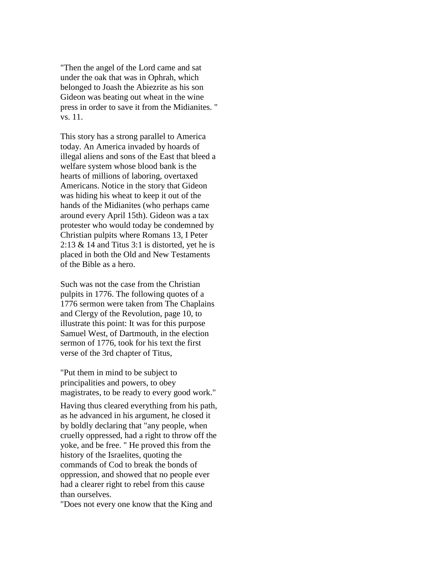"Then the angel of the Lord came and sat under the oak that was in Ophrah, which belonged to Joash the Abiezrite as his son Gideon was beating out wheat in the wine press in order to save it from the Midianites. " vs. 11.

This story has a strong parallel to America today. An America invaded by hoards of illegal aliens and sons of the East that bleed a welfare system whose blood bank is the hearts of millions of laboring, overtaxed Americans. Notice in the story that Gideon was hiding his wheat to keep it out of the hands of the Midianites (who perhaps came around every April 15th). Gideon was a tax protester who would today be condemned by Christian pulpits where Romans 13, I Peter 2:13  $\&$  14 and Titus 3:1 is distorted, yet he is placed in both the Old and New Testaments of the Bible as a hero.

Such was not the case from the Christian pulpits in 1776. The following quotes of a 1776 sermon were taken from The Chaplains and Clergy of the Revolution, page 10, to illustrate this point: It was for this purpose Samuel West, of Dartmouth, in the election sermon of 1776, took for his text the first verse of the 3rd chapter of Titus,

"Put them in mind to be subject to principalities and powers, to obey magistrates, to be ready to every good work."

Having thus cleared everything from his path, as he advanced in his argument, he closed it by boldly declaring that "any people, when cruelly oppressed, had a right to throw off the yoke, and be free. " He proved this from the history of the Israelites, quoting the commands of Cod to break the bonds of oppression, and showed that no people ever had a clearer right to rebel from this cause than ourselves.

"Does not every one know that the King and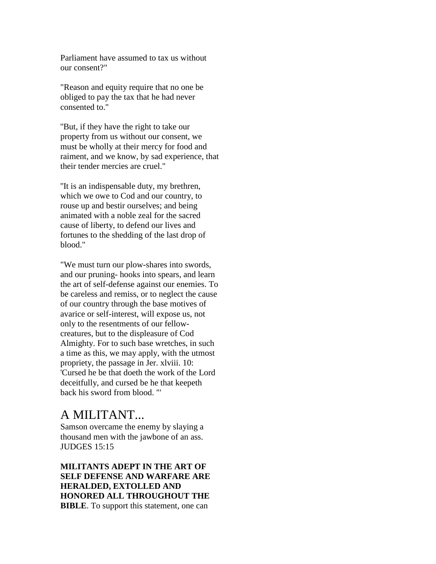Parliament have assumed to tax us without our consent?"

"Reason and equity require that no one be obliged to pay the tax that he had never consented to.''

''But, if they have the right to take our property from us without our consent, we must be wholly at their mercy for food and raiment, and we know, by sad experience, that their tender mercies are cruel."

''It is an indispensable duty, my brethren, which we owe to Cod and our country, to rouse up and bestir ourselves; and being animated with a noble zeal for the sacred cause of liberty, to defend our lives and fortunes to the shedding of the last drop of blood."

"We must turn our plow-shares into swords, and our pruning- hooks into spears, and learn the art of self-defense against our enemies. To be careless and remiss, or to neglect the cause of our country through the base motives of avarice or self-interest, will expose us, not only to the resentments of our fellowcreatures, but to the displeasure of Cod Almighty. For to such base wretches, in such a time as this, we may apply, with the utmost propriety, the passage in Jer. xlviii. 10: 'Cursed he be that doeth the work of the Lord deceitfully, and cursed be he that keepeth back his sword from blood. "'

## A MILITANT...

Samson overcame the enemy by slaying a thousand men with the jawbone of an ass. JUDGES 15:15

**MILITANTS ADEPT IN THE ART OF SELF DEFENSE AND WARFARE ARE HERALDED, EXTOLLED AND HONORED ALL THROUGHOUT THE BIBLE**. To support this statement, one can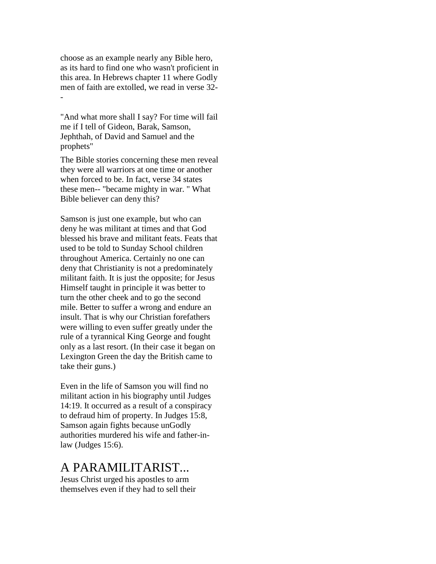choose as an example nearly any Bible hero, as its hard to find one who wasn't proficient in this area. In Hebrews chapter 11 where Godly men of faith are extolled, we read in verse 32- -

"And what more shall I say? For time will fail me if I tell of Gideon, Barak, Samson, Jephthah, of David and Samuel and the prophets"

The Bible stories concerning these men reveal they were all warriors at one time or another when forced to be. In fact, verse 34 states these men-- "became mighty in war. " What Bible believer can deny this?

Samson is just one example, but who can deny he was militant at times and that God blessed his brave and militant feats. Feats that used to be told to Sunday School children throughout America. Certainly no one can deny that Christianity is not a predominately militant faith. It is just the opposite; for Jesus Himself taught in principle it was better to turn the other cheek and to go the second mile. Better to suffer a wrong and endure an insult. That is why our Christian forefathers were willing to even suffer greatly under the rule of a tyrannical King George and fought only as a last resort. (In their case it began on Lexington Green the day the British came to take their guns.)

Even in the life of Samson you will find no militant action in his biography until Judges 14:19. It occurred as a result of a conspiracy to defraud him of property. In Judges 15:8, Samson again fights because unGodly authorities murdered his wife and father-inlaw (Judges 15:6).

#### A PARAMILITARIST...

Jesus Christ urged his apostles to arm themselves even if they had to sell their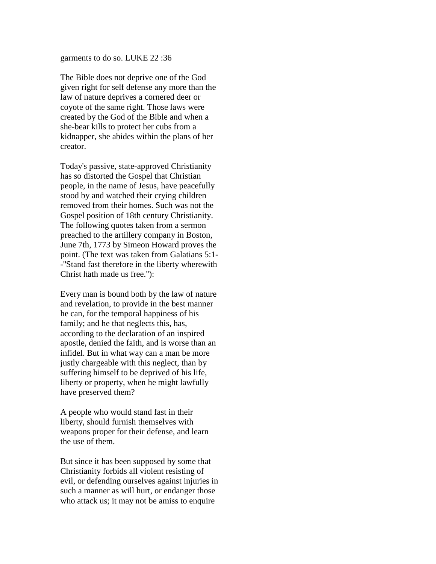garments to do so. LUKE 22 :36

The Bible does not deprive one of the God given right for self defense any more than the law of nature deprives a cornered deer or coyote of the same right. Those laws were created by the God of the Bible and when a she-bear kills to protect her cubs from a kidnapper, she abides within the plans of her creator.

Today's passive, state-approved Christianity has so distorted the Gospel that Christian people, in the name of Jesus, have peacefully stood by and watched their crying children removed from their homes. Such was not the Gospel position of 18th century Christianity. The following quotes taken from a sermon preached to the artillery company in Boston, June 7th, 1773 by Simeon Howard proves the point. (The text was taken from Galatians 5:1- -''Stand fast therefore in the liberty wherewith Christ hath made us free.''):

Every man is bound both by the law of nature and revelation, to provide in the best manner he can, for the temporal happiness of his family; and he that neglects this, has, according to the declaration of an inspired apostle, denied the faith, and is worse than an infidel. But in what way can a man be more justly chargeable with this neglect, than by suffering himself to be deprived of his life, liberty or property, when he might lawfully have preserved them?

A people who would stand fast in their liberty, should furnish themselves with weapons proper for their defense, and learn the use of them.

But since it has been supposed by some that Christianity forbids all violent resisting of evil, or defending ourselves against injuries in such a manner as will hurt, or endanger those who attack us; it may not be amiss to enquire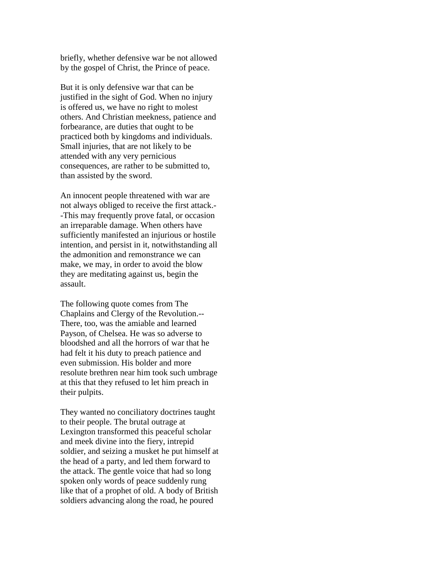briefly, whether defensive war be not allowed by the gospel of Christ, the Prince of peace.

But it is only defensive war that can be justified in the sight of God. When no injury is offered us, we have no right to molest others. And Christian meekness, patience and forbearance, are duties that ought to be practiced both by kingdoms and individuals. Small injuries, that are not likely to be attended with any very pernicious consequences, are rather to be submitted to, than assisted by the sword.

An innocent people threatened with war are not always obliged to receive the first attack.- -This may frequently prove fatal, or occasion an irreparable damage. When others have sufficiently manifested an injurious or hostile intention, and persist in it, notwithstanding all the admonition and remonstrance we can make, we may, in order to avoid the blow they are meditating against us, begin the assault.

The following quote comes from The Chaplains and Clergy of the Revolution.-- There, too, was the amiable and learned Payson, of Chelsea. He was so adverse to bloodshed and all the horrors of war that he had felt it his duty to preach patience and even submission. His bolder and more resolute brethren near him took such umbrage at this that they refused to let him preach in their pulpits.

They wanted no conciliatory doctrines taught to their people. The brutal outrage at Lexington transformed this peaceful scholar and meek divine into the fiery, intrepid soldier, and seizing a musket he put himself at the head of a party, and led them forward to the attack. The gentle voice that had so long spoken only words of peace suddenly rung like that of a prophet of old. A body of British soldiers advancing along the road, he poured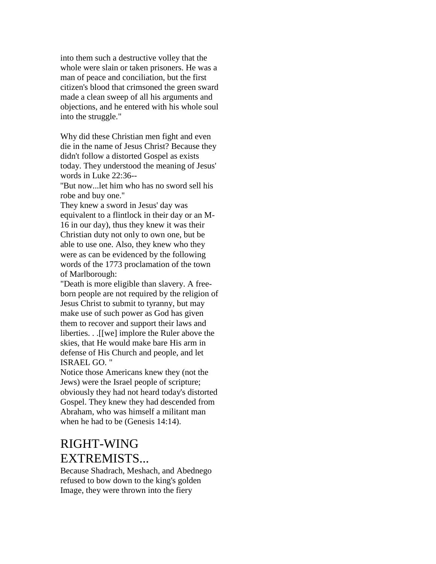into them such a destructive volley that the whole were slain or taken prisoners. He was a man of peace and conciliation, but the first citizen's blood that crimsoned the green sward made a clean sweep of all his arguments and objections, and he entered with his whole soul into the struggle."

Why did these Christian men fight and even die in the name of Jesus Christ? Because they didn't follow a distorted Gospel as exists today. They understood the meaning of Jesus' words in Luke 22:36--

''But now...let him who has no sword sell his robe and buy one.''

They knew a sword in Jesus' day was equivalent to a flintlock in their day or an M-16 in our day), thus they knew it was their Christian duty not only to own one, but be able to use one. Also, they knew who they were as can be evidenced by the following words of the 1773 proclamation of the town of Marlborough:

"Death is more eligible than slavery. A freeborn people are not required by the religion of Jesus Christ to submit to tyranny, but may make use of such power as God has given them to recover and support their laws and liberties. . .[[we] implore the Ruler above the skies, that He would make bare His arm in defense of His Church and people, and let ISRAEL GO. "

Notice those Americans knew they (not the Jews) were the Israel people of scripture; obviously they had not heard today's distorted Gospel. They knew they had descended from Abraham, who was himself a militant man when he had to be (Genesis 14:14).

## RIGHT-WING EXTREMISTS...

Because Shadrach, Meshach, and Abednego refused to bow down to the king's golden Image, they were thrown into the fiery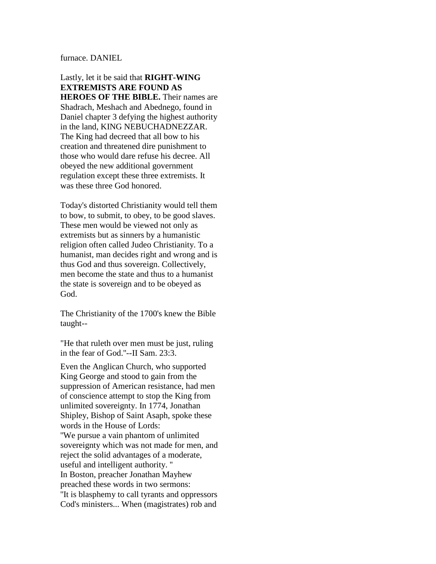furnace. DANIEL

Lastly, let it be said that **RIGHT-WING EXTREMISTS ARE FOUND AS HEROES OF THE BIBLE.** Their names are Shadrach, Meshach and Abednego, found in Daniel chapter 3 defying the highest authority in the land, KING NEBUCHADNEZZAR. The King had decreed that all bow to his creation and threatened dire punishment to those who would dare refuse his decree. All obeyed the new additional government regulation except these three extremists. It was these three God honored.

Today's distorted Christianity would tell them to bow, to submit, to obey, to be good slaves. These men would be viewed not only as extremists but as sinners by a humanistic religion often called Judeo Christianity. To a humanist, man decides right and wrong and is thus God and thus sovereign. Collectively, men become the state and thus to a humanist the state is sovereign and to be obeyed as God.

The Christianity of the 1700's knew the Bible taught--

"He that ruleth over men must be just, ruling in the fear of God.''--II Sam. 23:3.

Even the Anglican Church, who supported King George and stood to gain from the suppression of American resistance, had men of conscience attempt to stop the King from unlimited sovereignty. In 1774, Jonathan Shipley, Bishop of Saint Asaph, spoke these words in the House of Lords: ''We pursue a vain phantom of unlimited sovereignty which was not made for men, and reject the solid advantages of a moderate, useful and intelligent authority. '' In Boston, preacher Jonathan Mayhew preached these words in two sermons: ''It is blasphemy to call tyrants and oppressors Cod's ministers... When (magistrates) rob and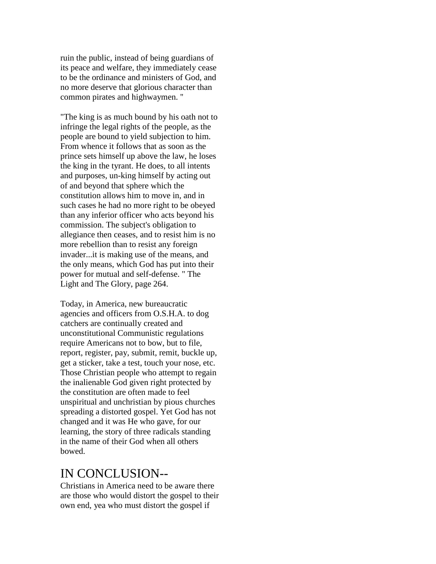ruin the public, instead of being guardians of its peace and welfare, they immediately cease to be the ordinance and ministers of God, and no more deserve that glorious character than common pirates and highwaymen. ''

"The king is as much bound by his oath not to infringe the legal rights of the people, as the people are bound to yield subjection to him. From whence it follows that as soon as the prince sets himself up above the law, he loses the king in the tyrant. He does, to all intents and purposes, un-king himself by acting out of and beyond that sphere which the constitution allows him to move in, and in such cases he had no more right to be obeyed than any inferior officer who acts beyond his commission. The subject's obligation to allegiance then ceases, and to resist him is no more rebellion than to resist any foreign invader...it is making use of the means, and the only means, which God has put into their power for mutual and self-defense. " The Light and The Glory, page 264.

Today, in America, new bureaucratic agencies and officers from O.S.H.A. to dog catchers are continually created and unconstitutional Communistic regulations require Americans not to bow, but to file, report, register, pay, submit, remit, buckle up, get a sticker, take a test, touch your nose, etc. Those Christian people who attempt to regain the inalienable God given right protected by the constitution are often made to feel unspiritual and unchristian by pious churches spreading a distorted gospel. Yet God has not changed and it was He who gave, for our learning, the story of three radicals standing in the name of their God when all others bowed.

### IN CONCLUSION--

Christians in America need to be aware there are those who would distort the gospel to their own end, yea who must distort the gospel if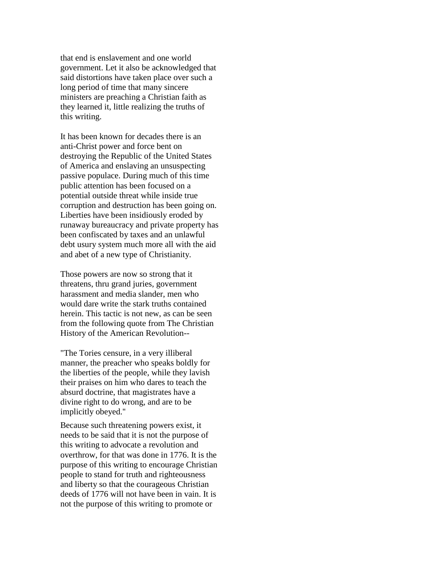that end is enslavement and one world government. Let it also be acknowledged that said distortions have taken place over such a long period of time that many sincere ministers are preaching a Christian faith as they learned it, little realizing the truths of this writing.

It has been known for decades there is an anti-Christ power and force bent on destroying the Republic of the United States of America and enslaving an unsuspecting passive populace. During much of this time public attention has been focused on a potential outside threat while inside true corruption and destruction has been going on. Liberties have been insidiously eroded by runaway bureaucracy and private property has been confiscated by taxes and an unlawful debt usury system much more all with the aid and abet of a new type of Christianity.

Those powers are now so strong that it threatens, thru grand juries, government harassment and media slander, men who would dare write the stark truths contained herein. This tactic is not new, as can be seen from the following quote from The Christian History of the American Revolution--

"The Tories censure, in a very illiberal manner, the preacher who speaks boldly for the liberties of the people, while they lavish their praises on him who dares to teach the absurd doctrine, that magistrates have a divine right to do wrong, and are to be implicitly obeyed.''

Because such threatening powers exist, it needs to be said that it is not the purpose of this writing to advocate a revolution and overthrow, for that was done in 1776. It is the purpose of this writing to encourage Christian people to stand for truth and righteousness and liberty so that the courageous Christian deeds of 1776 will not have been in vain. It is not the purpose of this writing to promote or